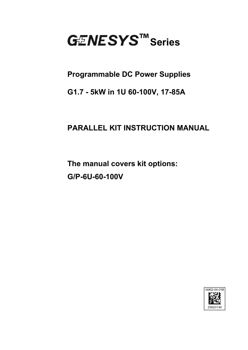

## **Programmable DC Power Supplies**

## **G1.7 - 5kW in 1U 60-100V, 17-85A**

# **PARALLEL KIT INSTRUCTION MANUAL**

**The manual covers kit options: G/P-6U-60-100V** 

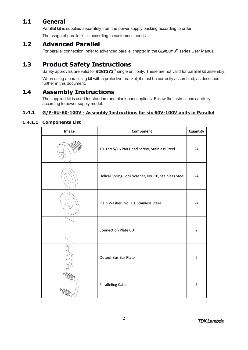### **1.1 General**

Parallel kit is supplied separately from the power supply packing according to order.

The usage of parallel kit is according to customer's needs.

#### **1.2 Advanced Parallel**

For parallel connection, refer to advanced parallel chapter in the  $G \subseteq NESYS^m$  series User Manual.

### **1.3 Product Safety Instructions**

Safety approvals are valid for GENESYS<sup>™</sup> single unit only. These are not valid for parallel kit assembly.

When using a paralleling kit with a protective bracket, it must be correctly assembled, as described further in this document.

### **1.4 Assembly Instructions**

The supplied kit is used for standard and blank panel options. Follow the instructions carefully according to power supply model.

#### **1.4.1 G/P-6U-60-100V - Assembly Instructions for six 60V-100V units in Parallel**

#### **1.4.1.1 Components List**

| Image              | Component                                           | Quantity       |
|--------------------|-----------------------------------------------------|----------------|
|                    | 10-32 x 5/16 Pan Head Screw, Stainless Steel        | 24             |
|                    | Helical Spring-Lock Washer, No. 10, Stainless Steel | 24             |
|                    | Plain Washer, No. 10, Stainless Steel               | 24             |
|                    | <b>Connection Plate 6U</b>                          | $\overline{2}$ |
| $\mathcal{O}$<br>o | Output Bus Bar Plate                                | $\overline{2}$ |
|                    | <b>Paralleling Cable</b>                            | 5              |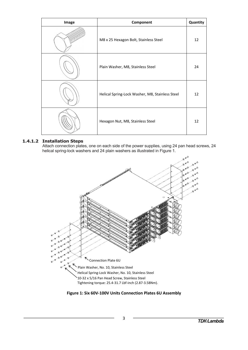| Image | Component                                       | Quantity |
|-------|-------------------------------------------------|----------|
|       | M8 x 25 Hexagon Bolt, Stainless Steel           | 12       |
|       | Plain Washer, M8, Stainless Steel               | 24       |
|       | Helical Spring-Lock Washer, M8, Stainless Steel | 12       |
|       | Hexagon Nut, M8, Stainless Steel                | 12       |

#### **1.4.1.2 Installation Steps**

Attach connection plates, one on each side of the power supplies, using 24 pan head screws, 24 helical spring-lock washers and 24 plain washers as illustrated in Figure 1.



**Figure 1: Six 60V‐100V Units Connection Plates 6U Assembly**